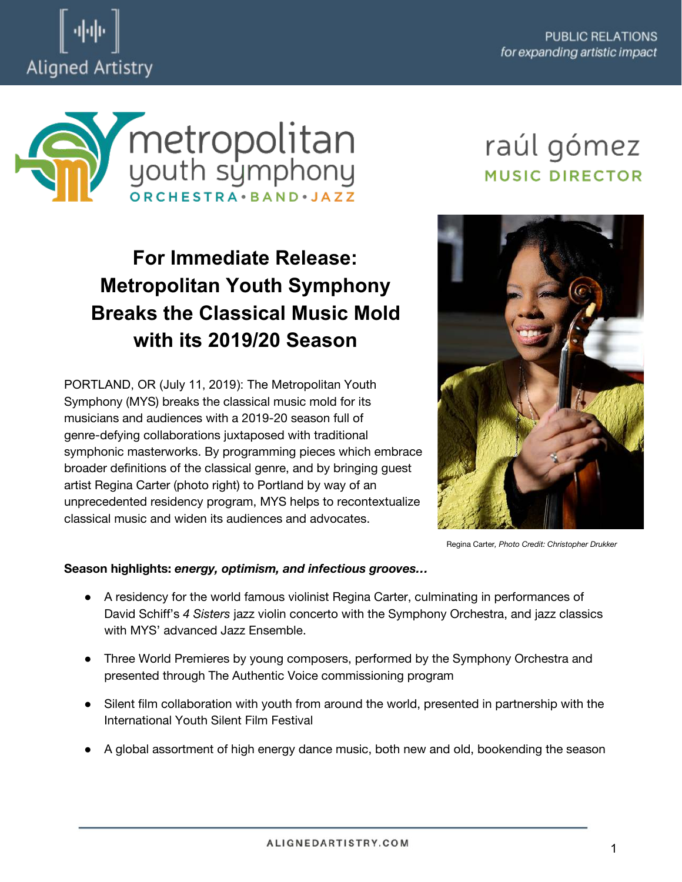



## **For Immediate Release: Metropolitan Youth Symphony Breaks the Classical Music Mold with its 2019/20 Season**

PORTLAND, OR (July 11, 2019): The Metropolitan Youth Symphony (MYS) breaks the classical music mold for its musicians and audiences with a 2019-20 season full of genre-defying collaborations juxtaposed with traditional symphonic masterworks. By programming pieces which embrace broader definitions of the classical genre, and by bringing guest artist Regina Carter (photo right) to Portland by way of an unprecedented residency program, MYS helps to recontextualize classical music and widen its audiences and advocates.

# raúl gómez **MUSIC DIRECTOR**



Regina Carter*, Photo Credit: Christopher Drukker* 

#### **Season highlights:** *energy, optimism, and infectious grooves…*

- A residency for the world famous violinist Regina Carter, culminating in performances of David Schiff's *4 Sisters* jazz violin concerto with the Symphony Orchestra, and jazz classics with MYS' advanced Jazz Ensemble.
- Three World Premieres by young composers, performed by the Symphony Orchestra and presented through The Authentic Voice commissioning program
- Silent film collaboration with youth from around the world, presented in partnership with the International Youth Silent Film Festival
- A global assortment of high energy dance music, both new and old, bookending the season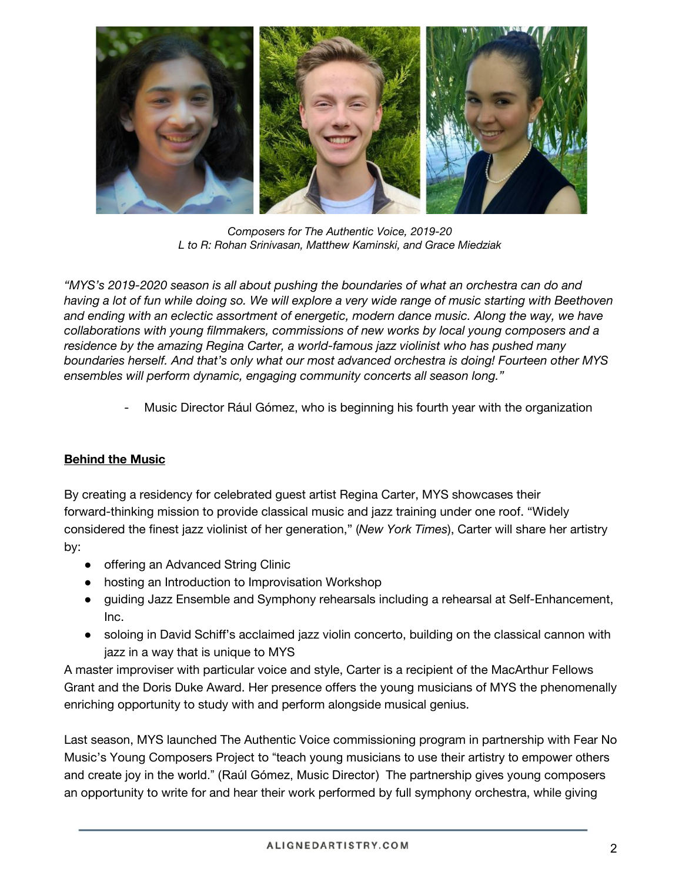

*Composers for The Authentic Voice, 2019-20 L to R: Rohan Srinivasan, Matthew Kaminski, and Grace Miedziak* 

*"MYS's 2019-2020 season is all about pushing the boundaries of what an orchestra can do and*  having a lot of fun while doing so. We will explore a very wide range of music starting with Beethoven *and ending with an eclectic assortment of energetic, modern dance music. Along the way, we have collaborations with young filmmakers, commissions of new works by local young composers and a residence by the amazing Regina Carter, a world-famous jazz violinist who has pushed many boundaries herself. And that's only what our most advanced orchestra is doing! Fourteen other MYS ensembles will perform dynamic, engaging community concerts all season long."* 

- Music Director Rául Gómez, who is beginning his fourth year with the organization

#### **Behind the Music**

By creating a residency for celebrated guest artist Regina Carter, MYS showcases their forward-thinking mission to provide classical music and jazz training under one roof. "Widely considered the finest jazz violinist of her generation," (*New York Times*), Carter will share her artistry by:

- offering an Advanced String Clinic
- hosting an Introduction to Improvisation Workshop
- guiding Jazz Ensemble and Symphony rehearsals including a rehearsal at Self-Enhancement, Inc.
- soloing in David Schiff's acclaimed jazz violin concerto, building on the classical cannon with jazz in a way that is unique to MYS

A master improviser with particular voice and style, Carter is a recipient of the MacArthur Fellows Grant and the Doris Duke Award. Her presence offers the young musicians of MYS the phenomenally enriching opportunity to study with and perform alongside musical genius.

Last season, MYS launched The Authentic Voice commissioning program in partnership with Fear No Music's Young Composers Project to "teach young musicians to use their artistry to empower others and create joy in the world." (Raúl Gómez, Music Director) The partnership gives young composers an opportunity to write for and hear their work performed by full symphony orchestra, while giving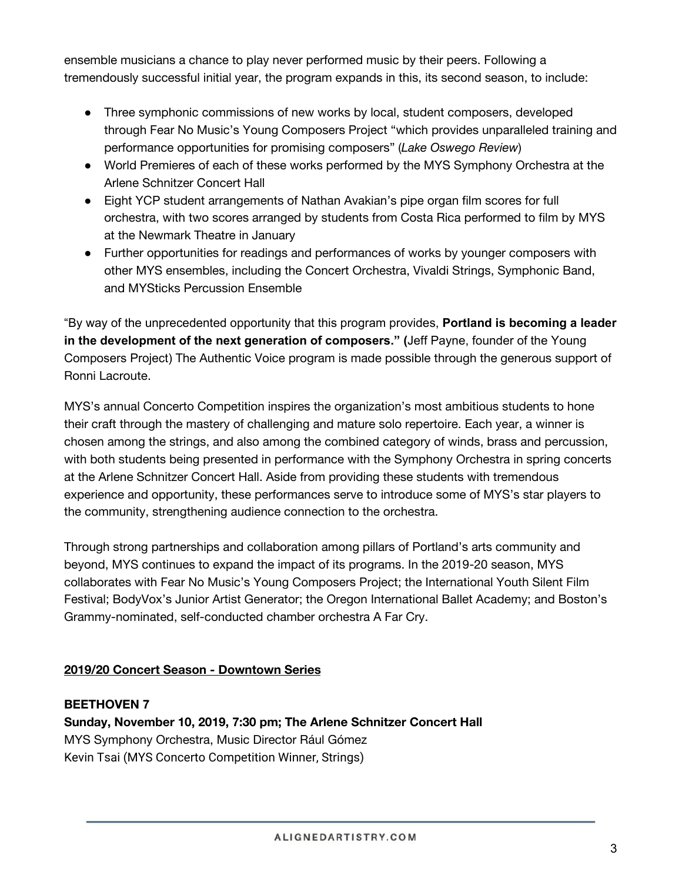ensemble musicians a chance to play never performed music by their peers. Following a tremendously successful initial year, the program expands in this, its second season, to include:

- Three symphonic commissions of new works by local, student composers, developed through Fear No Music's Young Composers Project "which provides unparalleled training and performance opportunities for promising composers" (*Lake Oswego Review*)
- World Premieres of each of these works performed by the MYS Symphony Orchestra at the Arlene Schnitzer Concert Hall
- Eight YCP student arrangements of Nathan Avakian's pipe organ film scores for full orchestra, with two scores arranged by students from Costa Rica performed to film by MYS at the Newmark Theatre in January
- Further opportunities for readings and performances of works by younger composers with other MYS ensembles, including the Concert Orchestra, Vivaldi Strings, Symphonic Band, and MYSticks Percussion Ensemble

"By way of the unprecedented opportunity that this program provides, **Portland is becoming a leader in the development of the next generation of composers." (**Jeff Payne, founder of the Young Composers Project) The Authentic Voice program is made possible through the generous support of Ronni Lacroute.

MYS's annual Concerto Competition inspires the organization's most ambitious students to hone their craft through the mastery of challenging and mature solo repertoire. Each year, a winner is chosen among the strings, and also among the combined category of winds, brass and percussion, with both students being presented in performance with the Symphony Orchestra in spring concerts at the Arlene Schnitzer Concert Hall. Aside from providing these students with tremendous experience and opportunity, these performances serve to introduce some of MYS's star players to the community, strengthening audience connection to the orchestra.

Through strong partnerships and collaboration among pillars of Portland's arts community and beyond, MYS continues to expand the impact of its programs. In the 2019-20 season, MYS collaborates with Fear No Music's Young Composers Project; the International Youth Silent Film Festival; BodyVox's Junior Artist Generator; the Oregon International Ballet Academy; and Boston's Grammy-nominated, self-conducted chamber orchestra A Far Cry.

## **2019/20 Concert Season - Downtown Series**

#### **BEETHOVEN 7**

**Sunday, November 10, 2019, 7:30 pm; The Arlene Schnitzer Concert Hall** MYS Symphony Orchestra, Music Director Rául Gómez Kevin Tsai (MYS Concerto Competition Winner, Strings)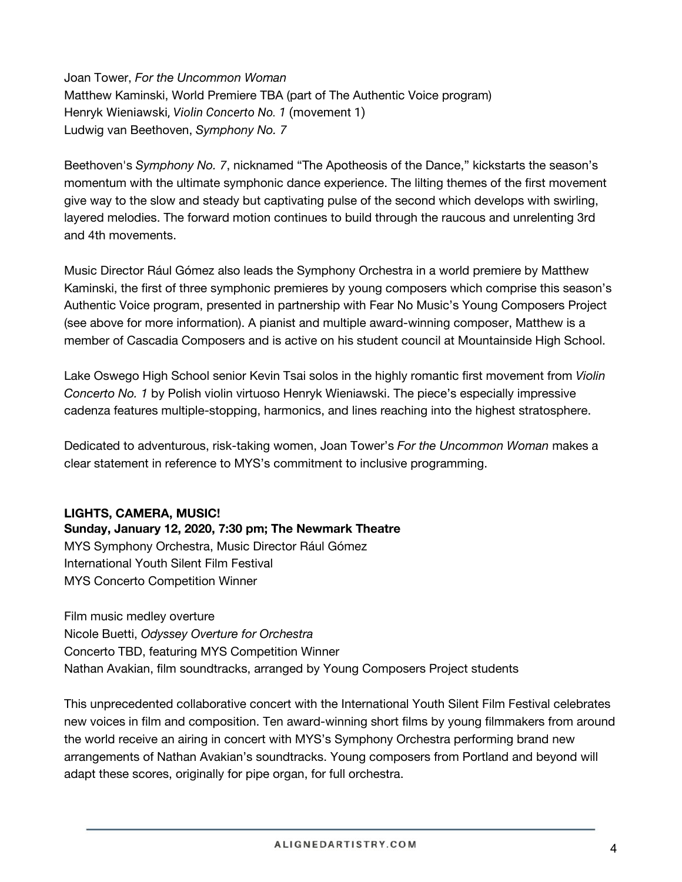Joan Tower, *For the Uncommon Woman*  Matthew Kaminski, World Premiere TBA (part of The Authentic Voice program) Henryk Wieniawski, *Violin Concerto No. 1* (movement 1) Ludwig van Beethoven, *Symphony No. 7*

Beethoven's *Symphony No. 7*, nicknamed "The Apotheosis of the Dance," kickstarts the season's momentum with the ultimate symphonic dance experience. The lilting themes of the first movement give way to the slow and steady but captivating pulse of the second which develops with swirling, layered melodies. The forward motion continues to build through the raucous and unrelenting 3rd and 4th movements.

Music Director Rául Gómez also leads the Symphony Orchestra in a world premiere by Matthew Kaminski, the first of three symphonic premieres by young composers which comprise this season's Authentic Voice program, presented in partnership with Fear No Music's Young Composers Project (see above for more information). A pianist and multiple award-winning composer, Matthew is a member of Cascadia Composers and is active on his student council at Mountainside High School.

Lake Oswego High School senior Kevin Tsai solos in the highly romantic first movement from *Violin Concerto No. 1* by Polish violin virtuoso Henryk Wieniawski. The piece's especially impressive cadenza features multiple-stopping, harmonics, and lines reaching into the highest stratosphere.

Dedicated to adventurous, risk-taking women, Joan Tower's *For the Uncommon Woman* makes a clear statement in reference to MYS's commitment to inclusive programming.

#### **LIGHTS, CAMERA, MUSIC!**

**Sunday, January 12, 2020, 7:30 pm; The Newmark Theatre**  MYS Symphony Orchestra, Music Director Rául Gómez International Youth Silent Film Festival MYS Concerto Competition Winner

Film music medley overture Nicole Buetti, *Odyssey Overture for Orchestra*  Concerto TBD, featuring MYS Competition Winner Nathan Avakian, film soundtracks, arranged by Young Composers Project students

This unprecedented collaborative concert with the International Youth Silent Film Festival celebrates new voices in film and composition. Ten award-winning short films by young filmmakers from around the world receive an airing in concert with MYS's Symphony Orchestra performing brand new arrangements of Nathan Avakian's soundtracks. Young composers from Portland and beyond will adapt these scores, originally for pipe organ, for full orchestra.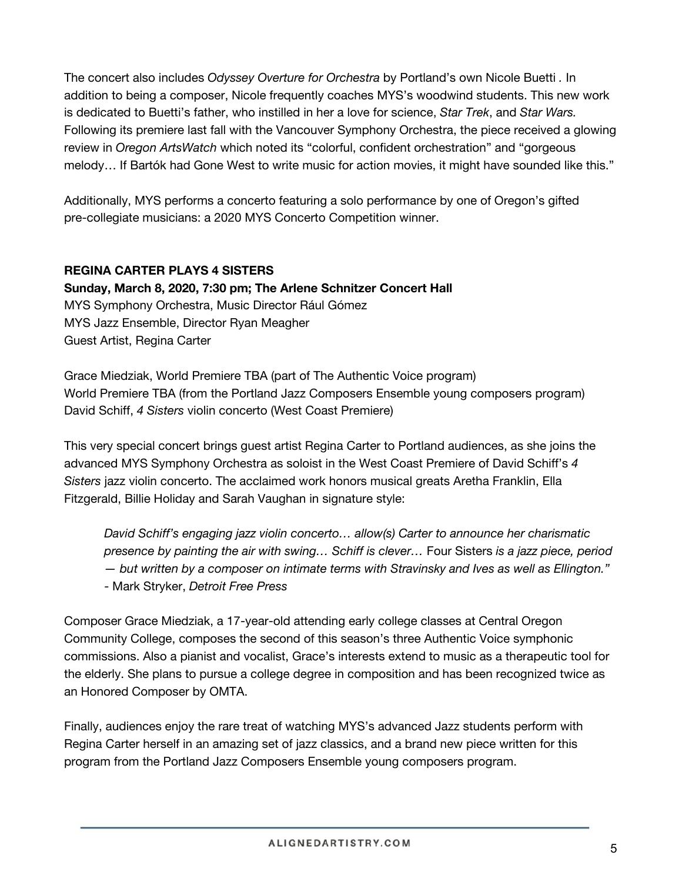The concert also includes *Odyssey Overture for Orchestra* by Portland's own Nicole Buetti *.* In addition to being a composer, Nicole frequently coaches MYS's woodwind students. This new work is dedicated to Buetti's father, who instilled in her a love for science, *Star Trek*, and *Star Wars.*  Following its premiere last fall with the Vancouver Symphony Orchestra, the piece received a glowing review in *Oregon ArtsWatch* which noted its "colorful, confident orchestration" and "gorgeous melody… If Bartók had Gone West to write music for action movies, it might have sounded like this."

Additionally, MYS performs a concerto featuring a solo performance by one of Oregon's gifted pre-collegiate musicians: a 2020 MYS Concerto Competition winner.

## **REGINA CARTER PLAYS 4 SISTERS**

**Sunday, March 8, 2020, 7:30 pm; The Arlene Schnitzer Concert Hall** MYS Symphony Orchestra, Music Director Rául Gómez MYS Jazz Ensemble, Director Ryan Meagher Guest Artist, Regina Carter

Grace Miedziak, World Premiere TBA (part of The Authentic Voice program) World Premiere TBA (from the Portland Jazz Composers Ensemble young composers program) David Schiff, *4 Sisters* violin concerto (West Coast Premiere)

This very special concert brings guest artist Regina Carter to Portland audiences, as she joins the advanced MYS Symphony Orchestra as soloist in the West Coast Premiere of David Schiff's *4 Sisters* jazz violin concerto. The acclaimed work honors musical greats Aretha Franklin, Ella Fitzgerald, Billie Holiday and Sarah Vaughan in signature style:

*David Schiff's engaging jazz violin concerto… allow(s) Carter to announce her charismatic presence by painting the air with swing… Schiff is clever…* Four Sisters *is a jazz piece, period — but written by a composer on intimate terms with Stravinsky and Ives as well as Ellington."*  - Mark Stryker, *Detroit Free Press* 

Composer Grace Miedziak, a 17-year-old attending early college classes at Central Oregon Community College, composes the second of this season's three Authentic Voice symphonic commissions. Also a pianist and vocalist, Grace's interests extend to music as a therapeutic tool for the elderly. She plans to pursue a college degree in composition and has been recognized twice as an Honored Composer by OMTA.

Finally, audiences enjoy the rare treat of watching MYS's advanced Jazz students perform with Regina Carter herself in an amazing set of jazz classics, and a brand new piece written for this program from the Portland Jazz Composers Ensemble young composers program.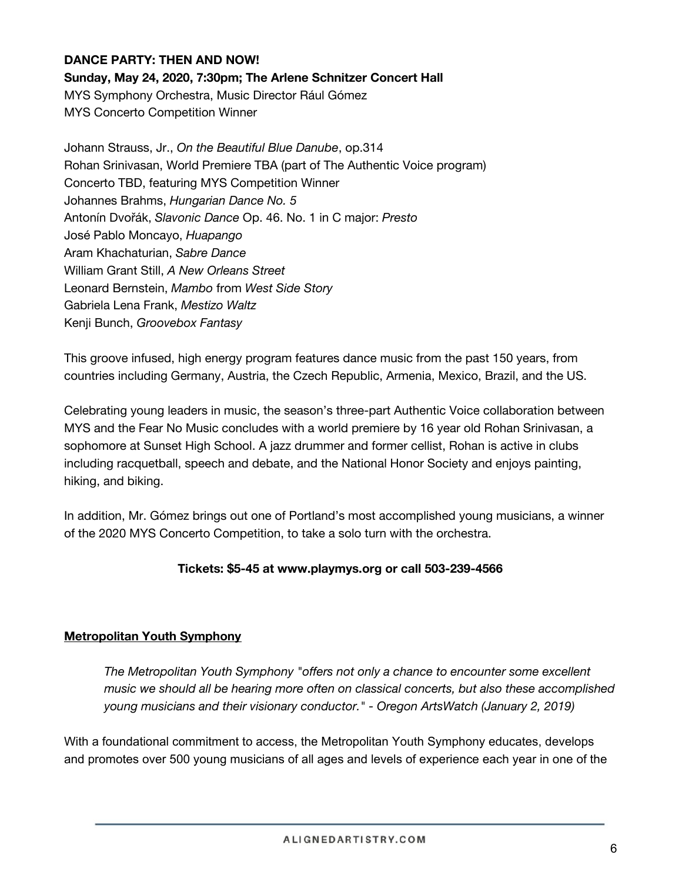#### **DANCE PARTY: THEN AND NOW!**

**Sunday, May 24, 2020, 7:30pm; The Arlene Schnitzer Concert Hall**

MYS Symphony Orchestra, Music Director Rául Gómez MYS Concerto Competition Winner

Johann Strauss, Jr., *On the Beautiful Blue Danube*, op.314 Rohan Srinivasan, World Premiere TBA (part of The Authentic Voice program) Concerto TBD, featuring MYS Competition Winner Johannes Brahms, *Hungarian Dance No. 5*  Antonín Dvořák, *Slavonic Dance* Op. 46. No. 1 in C major: *Presto*  José Pablo Moncayo, *Huapango*  Aram Khachaturian, *Sabre Dance*  William Grant Still, *A New Orleans Street*  Leonard Bernstein, *Mambo* from *West Side Story*  Gabriela Lena Frank, *Mestizo Waltz*  Kenji Bunch, *Groovebox Fantasy* 

This groove infused, high energy program features dance music from the past 150 years, from countries including Germany, Austria, the Czech Republic, Armenia, Mexico, Brazil, and the US.

Celebrating young leaders in music, the season's three-part Authentic Voice collaboration between MYS and the Fear No Music concludes with a world premiere by 16 year old Rohan Srinivasan, a sophomore at Sunset High School. A jazz drummer and former cellist, Rohan is active in clubs including racquetball, speech and debate, and the National Honor Society and enjoys painting, hiking, and biking.

In addition, Mr. Gómez brings out one of Portland's most accomplished young musicians, a winner of the 2020 MYS Concerto Competition, to take a solo turn with the orchestra.

#### **Tickets: \$5-45 at [www.playmys.org](http://www.playmys.org/) or call 503-239-4566**

#### **Metropolitan Youth Symphony**

*The Metropolitan Youth Symphony "offers not only a chance to encounter some excellent music we should all be hearing more often on classical concerts, but also these accomplished young musicians and their visionary conductor." - Oregon ArtsWatch (January 2, 2019)* 

With a foundational commitment to access, the Metropolitan Youth Symphony educates, develops and promotes over 500 young musicians of all ages and levels of experience each year in one of the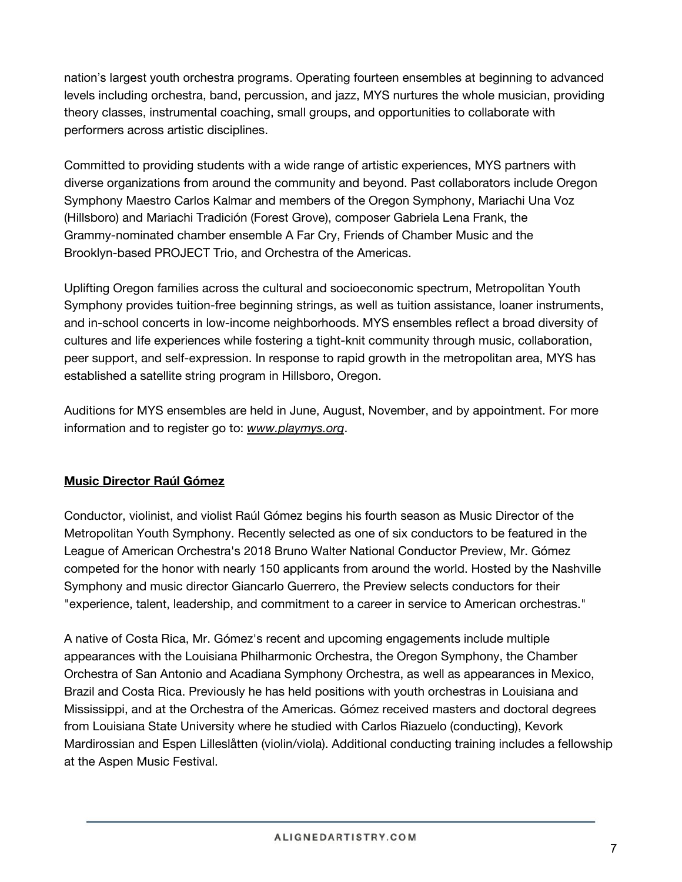nation's largest youth orchestra programs. Operating fourteen ensembles at beginning to advanced levels including orchestra, band, percussion, and jazz, MYS nurtures the whole musician, providing theory classes, instrumental coaching, small groups, and opportunities to collaborate with performers across artistic disciplines.

Committed to providing students with a wide range of artistic experiences, MYS partners with diverse organizations from around the community and beyond. Past collaborators include Oregon Symphony Maestro Carlos Kalmar and members of the Oregon Symphony, Mariachi Una Voz (Hillsboro) and Mariachi Tradición (Forest Grove), composer Gabriela Lena Frank, the Grammy-nominated chamber ensemble A Far Cry, Friends of Chamber Music and the Brooklyn-based PROJECT Trio, and Orchestra of the Americas.

Uplifting Oregon families across the cultural and socioeconomic spectrum, Metropolitan Youth Symphony provides tuition-free beginning strings, as well as tuition assistance, loaner instruments, and in-school concerts in low-income neighborhoods. MYS ensembles reflect a broad diversity of cultures and life experiences while fostering a tight-knit community through music, collaboration, peer support, and self-expression. In response to rapid growth in the metropolitan area, MYS has established a satellite string program in Hillsboro, Oregon.

Auditions for MYS ensembles are held in June, August, November, and by appointment. For more information and to register go to: *[www.playmys.org](http://www.playmys.org/)*.

## **Music Director Raúl Gómez**

Conductor, violinist, and violist Raúl Gómez begins his fourth season as Music Director of the Metropolitan Youth Symphony. Recently selected as one of six conductors to be featured in the League of American Orchestra's 2018 Bruno Walter National Conductor Preview, Mr. Gómez competed for the honor with nearly 150 applicants from around the world. Hosted by the Nashville Symphony and music director Giancarlo Guerrero, the Preview selects conductors for their "experience, talent, leadership, and commitment to a career in service to American orchestras."

A native of Costa Rica, Mr. Gómez's recent and upcoming engagements include multiple appearances with the Louisiana Philharmonic Orchestra, the Oregon Symphony, the Chamber Orchestra of San Antonio and Acadiana Symphony Orchestra, as well as appearances in Mexico, Brazil and Costa Rica. Previously he has held positions with youth orchestras in Louisiana and Mississippi, and at the Orchestra of the Americas. Gómez received masters and doctoral degrees from Louisiana State University where he studied with Carlos Riazuelo (conducting), Kevork Mardirossian and Espen Lilleslåtten (violin/viola). Additional conducting training includes a fellowship at the Aspen Music Festival.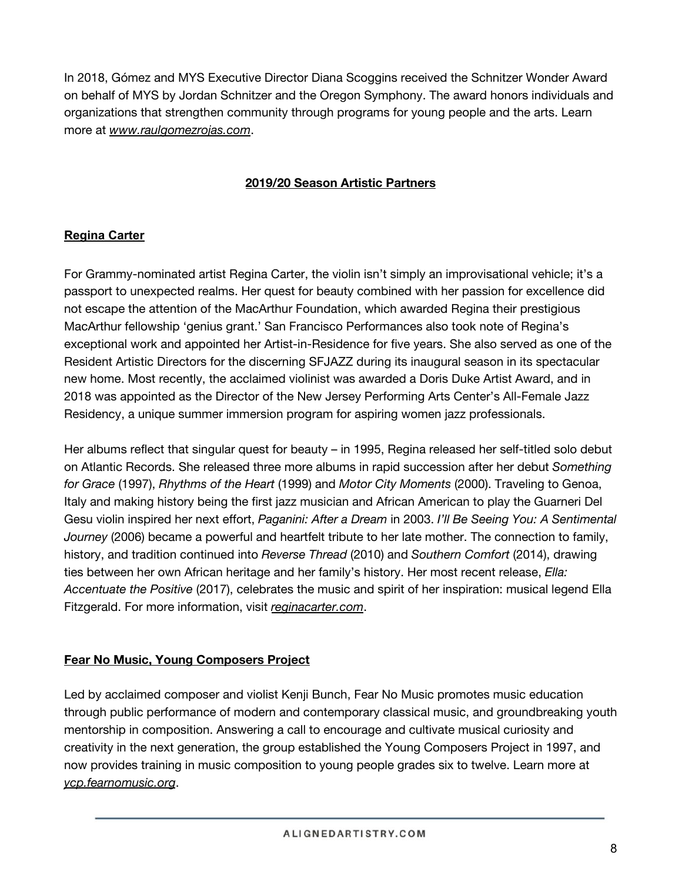In 2018, Gómez and MYS Executive Director Diana Scoggins received the Schnitzer Wonder Award on behalf of MYS by Jordan Schnitzer and the Oregon Symphony. The award honors individuals and organizations that strengthen community through programs for young people and the arts. Learn more at *www.raulgomezrojas.com*.

## **2019/20 Season Artistic Partners**

## **Regina Carter**

For Grammy-nominated artist Regina Carter, the violin isn't simply an improvisational vehicle; it's a passport to unexpected realms. Her quest for beauty combined with her passion for excellence did not escape the attention of the MacArthur Foundation, which awarded Regina their prestigious MacArthur fellowship 'genius grant.' San Francisco Performances also took note of Regina's exceptional work and appointed her Artist-in-Residence for five years. She also served as one of the Resident Artistic Directors for the discerning SFJAZZ during its inaugural season in its spectacular new home. Most recently, the acclaimed violinist was awarded a Doris Duke Artist Award, and in 2018 was appointed as the Director of the New Jersey Performing Arts Center's All-Female Jazz Residency, a unique summer immersion program for aspiring women jazz professionals.

Her albums reflect that singular quest for beauty – in 1995, Regina released her self-titled solo debut on Atlantic Records. She released three more albums in rapid succession after her debut *Something for Grace* (1997), *Rhythms of the Heart* (1999) and *Motor City Moments* (2000). Traveling to Genoa, Italy and making history being the first jazz musician and African American to play the Guarneri Del Gesu violin inspired her next effort, *Paganini: After a Dream* in 2003. *I'll Be Seeing You: A Sentimental Journey* (2006) became a powerful and heartfelt tribute to her late mother. The connection to family, history, and tradition continued into *Reverse Thread* (2010) and *Southern Comfort* (2014), drawing ties between her own African heritage and her family's history. Her most recent release, *Ella: Accentuate the Positive* (2017), celebrates the music and spirit of her inspiration: musical legend Ella Fitzgerald. For more information, visit *reginacarter.com*.

## **Fear No Music, Young Composers Project**

Led by acclaimed composer and violist Kenji Bunch, Fear No Music promotes music education through public performance of modern and contemporary classical music, and groundbreaking youth mentorship in composition. Answering a call to encourage and cultivate musical curiosity and creativity in the next generation, the group established the Young Composers Project in 1997, and now provides training in music composition to young people grades six to twelve. Learn more at *ycp.fearnomusic.org*.